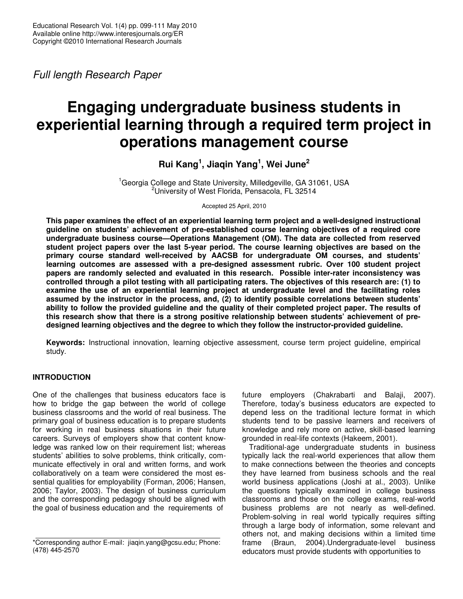*Full length Research Paper*

# **Engaging undergraduate business students in experiential learning through a required term project in operations management course**

# **Rui Kang 1 , Jiaqin Yang 1 , Wei June 2**

<sup>1</sup>Georgia College and State University, Milledgeville, GA 31061, USA <sup>2</sup>University of West Florida, Pensacola, FL 32514

Accepted 25 April, 2010

**This paper examines the effect of an experiential learning term project and a well-designed instructional guideline on students' achievement of pre-established course learning objectives of a required core undergraduate business course—Operations Management (OM). The data are collected from reserved student project papers over the last 5-year period. The course learning objectives are based on the primary course standard well-received by AACSB for undergraduate OM courses, and students' learning outcomes are assessed with a pre-designed assessment rubric. Over 100 student project papers are randomly selected and evaluated in this research. Possible inter-rater inconsistency was** controlled through a pilot testing with all participating raters. The objectives of this research are: (1) to **examine the use of an experiential learning project at undergraduate level and the facilitating roles assumed by the instructor in the process, and, (2) to identify possible correlations between students' ability to follow the provided guideline and the quality of their completed project paper. The results of this research show that there is a strong positive relationship between students' achievement of predesigned learning objectives and the degree to which they follow the instructor-provided guideline.**

**Keywords:** Instructional innovation, learning objective assessment, course term project guideline, empirical study.

# **INTRODUCTION**

One of the challenges that business educators face is how to bridge the gap between the world of college business classrooms and the world of real business. The primary goal of business education is to prepare students for working in real business situations in their future careers. Surveys of employers show that content knowledge was ranked low on their requirement list; whereas students' abilities to solve problems, think critically, communicate effectively in oral and written forms, and work collaboratively on a team were considered the most essential qualities for employability (Forman, 2006; Hansen, 2006; Taylor, 2003). The design of business curriculum and the corresponding pedagogy should be aligned with the goal of business education and the requirements of

future employers (Chakrabarti and Balaji, 2007). Therefore, today's business educators are expected to depend less on the traditional lecture format in which students tend to be passive learners and receivers of knowledge and rely more on active, skill-based learning grounded in real-life contexts (Hakeem, 2001).

Traditional-age undergraduate students in business typically lack the real-world experiences that allow them to make connections between the theories and concepts they have learned from business schools and the real world business applications (Joshi at al., 2003). Unlike the questions typically examined in college business classrooms and those on the college exams, real-world business problems are not nearly as well-defined. Problem-solving in real world typically requires sifting through a large body of information, some relevant and others not, and making decisions within a limited time frame (Braun, 2004).Undergraduate-level business educators must provide students with opportunities to

<sup>\*</sup>Corresponding author E-mail: jiaqin.yang@gcsu.edu; Phone: (478) 445-2570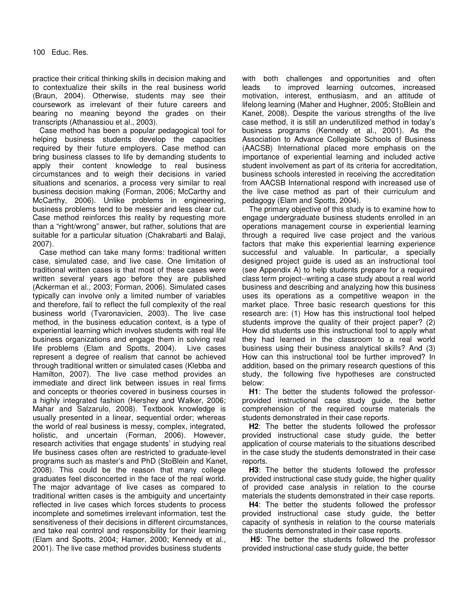practice their critical thinking skills in decision making and to contextualize their skills in the real business world (Braun, 2004). Otherwise, students may see their coursework as irrelevant of their future careers and bearing no meaning beyond the grades on their transcripts (Athanassiou et al., 2003).

Case method has been a popular pedagogical tool for helping business students develop the capacities required by their future employers. Case method can bring business classes to life by demanding students to apply their content knowledge to real business circumstances and to weigh their decisions in varied situations and scenarios, a process very similar to real business decision making (Forman, 2006; McCarthy and McCarthy, 2006). Unlike problems in engineering, business problems tend to be messier and less clear cut. Case method reinforces this reality by requesting more than a "right/wrong" answer, but rather, solutions that are suitable for a particular situation (Chakrabarti and Balaji, 2007).

Case method can take many forms: traditional written case, simulated case, and live case. One limitation of traditional written cases is that most of these cases were written several years ago before they are published (Ackerman et al., 2003; Forman, 2006). Simulated cases typically can involve only a limited number of variables and therefore, fail to reflect the full complexity of the real business world (Tvaronavicien, 2003). The live case method, in the business education context, is a type of experiential learning which involves students with real life business organizations and engage them in solving real life problems (Elam and Spotts, 2004). Live cases represent a degree of realism that cannot be achieved through traditional written or simulated cases (Klebba and Hamilton, 2007). The live case method provides an immediate and direct link between issues in real firms and concepts or theories covered in business courses in a highly integrated fashion (Hershey and Walker, 2006; Mahar and Salzarulo, 2008). Textbook knowledge is usually presented in a linear, sequential order; whereas the world of real business is messy, complex, integrated, holistic, and uncertain (Forman, 2006). However, research activities that engage students' in studying real life business cases often are restricted to graduate-level programs such as master's and PhD (StoBlein and Kanet, 2008). This could be the reason that many college graduates feel disconcerted in the face of the real world. The major advantage of live cases as compared to traditional written cases is the ambiguity and uncertainty reflected in live cases which forces students to process incomplete and sometimes irrelevant information, test the sensitiveness of their decisions in different circumstances, and take real control and responsibility for their learning (Elam and Spotts, 2004; Hamer, 2000; Kennedy et al., 2001). The live case method provides business students

with both challenges and opportunities and often leads to improved learning outcomes, increased motivation, interest, enthusiasm, and an attitude of lifelong learning (Maher and Hughner, 2005; StoBlein and Kanet, 2008). Despite the various strengths of the live case method, it is still an underutilized method in today's business programs (Kennedy et al., 2001). As the Association to Advance Collegiate Schools of Business (AACSB) International placed more emphasis on the importance of experiential learning and included active student involvement as part of its criteria for accreditation, business schools interested in receiving the accreditation from AACSB International respond with increased use of the live case method as part of their curriculum and pedagogy (Elam and Spotts, 2004).

The primary objective of this study is to examine how to engage undergraduate business students enrolled in an operations management course in experiential learning through a required live case project and the various factors that make this experiential learning experience successful and valuable. In particular, a specially designed project guide is used as an instructional tool (see Appendix A) to help students prepare for a required class term project--writing a case study about a real world business and describing and analyzing how this business uses its operations as a competitive weapon in the market place. Three basic research questions for this research are: (1) How has this instructional tool helped students improve the quality of their project paper? (2) How did students use this instructional tool to apply what they had learned in the classroom to a real world business using their business analytical skills? And (3) How can this instructional tool be further improved? In addition, based on the primary research questions of this study, the following five hypotheses are constructed below:

**H1**: The better the students followed the professorprovided instructional case study guide, the better comprehension of the required course materials the students demonstrated in their case reports.

**H2**: The better the students followed the professor provided instructional case study guide, the better application of course materials to the situations described in the case study the students demonstrated in their case reports.

**H3**: The better the students followed the professor provided instructional case study guide, the higher quality of provided case analysis in relation to the course materials the students demonstrated in their case reports.

**H4**: The better the students followed the professor provided instructional case study guide, the better capacity of synthesis in relation to the course materials the students demonstrated in their case reports.

**H5**: The better the students followed the professor provided instructional case study guide, the better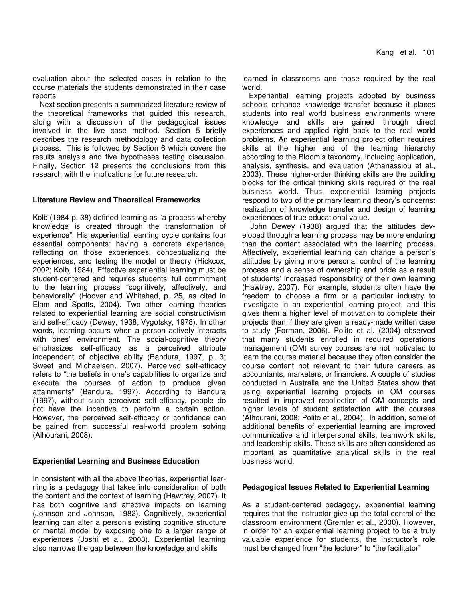evaluation about the selected cases in relation to the course materials the students demonstrated in their case reports.

Next section presents a summarized literature review of the theoretical frameworks that guided this research, along with a discussion of the pedagogical issues involved in the live case method. Section 5 briefly describes the research methodology and data collection process. This is followed by Section 6 which covers the results analysis and five hypotheses testing discussion. Finally, Section 12 presents the conclusions from this research with the implications for future research.

#### **Literature Review and Theoretical Frameworks**

Kolb (1984 p. 38) defined learning as "a process whereby knowledge is created through the transformation of experience". His experiential learning cycle contains four essential components: having a concrete experience, reflecting on those experiences, conceptualizing the experiences, and testing the model or theory (Hickcox, 2002; Kolb, 1984). Effective experiential learning must be student-centered and requires students' full commitment to the learning process "cognitively, affectively, and behaviorally" (Hoover and Whitehad, p. 25, as cited in Elam and Spotts, 2004). Two other learning theories related to experiential learning are social constructivism and self-efficacy (Dewey, 1938; Vygotsky, 1978). In other words, learning occurs when a person actively interacts with ones' environment. The social-cognitive theory emphasizes self-efficacy as a perceived attribute independent of objective ability (Bandura, 1997, p. 3; Sweet and Michaelsen, 2007). Perceived self-efficacy refers to "the beliefs in one's capabilities to organize and execute the courses of action to produce given attainments" (Bandura, 1997). According to Bandura (1997), without such perceived self-efficacy, people do not have the incentive to perform a certain action. However, the perceived self-efficacy or confidence can be gained from successful real-world problem solving (Alhourani, 2008).

#### **Experiential Learning and Business Education**

In consistent with all the above theories, experiential learning is a pedagogy that takes into consideration of both the content and the context of learning (Hawtrey, 2007). It has both cognitive and affective impacts on learning (Johnson and Johnson, 1982). Cognitively, experiential learning can alter a person's existing cognitive structure or mental model by exposing one to a larger range of experiences (Joshi et al., 2003). Experiential learning also narrows the gap between the knowledge and skills

learned in classrooms and those required by the real world.

Experiential learning projects adopted by business schools enhance knowledge transfer because it places students into real world business environments where knowledge and skills are gained through direct experiences and applied right back to the real world problems. An experiential learning project often requires skills at the higher end of the learning hierarchy according to the Bloom's taxonomy, including application, analysis, synthesis, and evaluation (Athanassiou et al., 2003). These higher-order thinking skills are the building blocks for the critical thinking skills required of the real business world. Thus, experiential learning projects respond to two of the primary learning theory's concerns: realization of knowledge transfer and design of learning experiences of true educational value.

John Dewey (1938) argued that the attitudes developed through a learning process may be more enduring than the content associated with the learning process. Affectively, experiential learning can change a person's attitudes by giving more personal control of the learning process and a sense of ownership and pride as a result of students' increased responsibility of their own learning (Hawtrey, 2007). For example, students often have the freedom to choose a firm or a particular industry to investigate in an experiential learning project, and this gives them a higher level of motivation to complete their projects than if they are given a ready-made written case to study (Forman, 2006). Polito et al. (2004) observed that many students enrolled in required operations management (OM) survey courses are not motivated to learn the course material because they often consider the course content not relevant to their future careers as accountants, marketers, or financiers. A couple of studies conducted in Australia and the United States show that using experiential learning projects in OM courses resulted in improved recollection of OM concepts and higher levels of student satisfaction with the courses (Alhourani, 2008; Polito et al., 2004). In addition, some of additional benefits of experiential learning are improved communicative and interpersonal skills, teamwork skills, and leadership skills. These skills are often considered as important as quantitative analytical skills in the real business world.

### **Pedagogical Issues Related to Experiential Learning**

As a student-centered pedagogy, experiential learning requires that the instructor give up the total control of the classroom environment (Gremler et al., 2000). However, in order for an experiential learning project to be a truly valuable experience for students, the instructor's role must be changed from "the lecturer" to "the facilitator"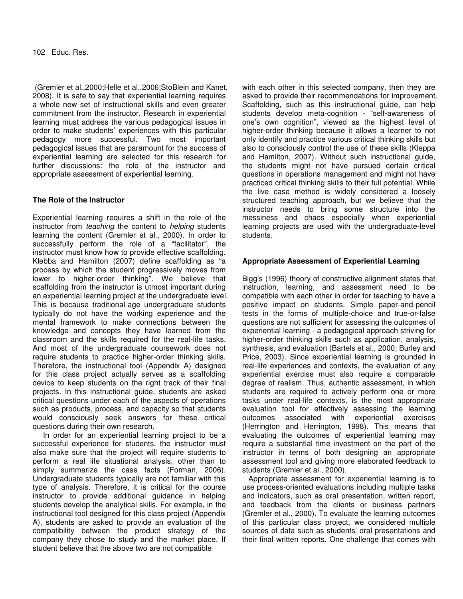(Gremler et al.,2000;Helle et al.,2006;StoBlein and Kanet, 2008). It is safe to say that experiential learning requires a whole new set of instructional skills and even greater commitment from the instructor. Research in experiential learning must address the various pedagogical issues in order to make students' experiences with this particular pedagogy more successful. Two most important pedagogical issues that are paramount for the success of experiential learning are selected for this research for further discussions: the role of the instructor and appropriate assessment of experiential learning.

## **The Role of the Instructor**

Experiential learning requires a shift in the role of the instructor from *teaching* the content to *helping* students learning the content (Gremler et al., 2000). In order to successfully perform the role of a "facilitator", the instructor must know how to provide effective scaffolding. Klebba and Hamilton (2007) define scaffolding as "a process by which the student progressively moves from lower to higher-order thinking". We believe that scaffolding from the instructor is utmost important during an experiential learning project at the undergraduate level. This is because traditional-age undergraduate students typically do not have the working experience and the mental framework to make connections between the knowledge and concepts they have learned from the classroom and the skills required for the real-life tasks. And most of the undergraduate coursework does not require students to practice higher-order thinking skills. Therefore, the instructional tool (Appendix A) designed for this class project actually serves as a scaffolding device to keep students on the right track of their final projects. In this instructional guide, students are asked critical questions under each of the aspects of operations such as products, process, and capacity so that students would consciously seek answers for these critical questions during their own research.

In order for an experiential learning project to be a successful experience for students, the instructor must also make sure that the project will require students to perform a real life situational analysis, other than to simply summarize the case facts (Forman, 2006). Undergraduate students typically are not familiar with this type of analysis. Therefore, it is critical for the course instructor to provide additional guidance in helping students develop the analytical skills. For example, in the instructional tool designed for this class project (Appendix A), students are asked to provide an evaluation of the compatibility between the product strategy of the company they chose to study and the market place. If student believe that the above two are not compatible

with each other in this selected company, then they are asked to provide their recommendations for improvement. Scaffolding, such as this instructional guide, can help students develop meta-cognition - "self-awareness of one's own cognition", viewed as the highest level of higher-order thinking because it allows a learner to not only identify and practice various critical thinking skills but also to consciously control the use of these skills (Kleppa and Hamilton, 2007). Without such instructional guide, the students might not have pursued certain critical questions in operations management and might not have practiced critical thinking skills to their full potential. While the live case method is widely considered a loosely structured teaching approach, but we believe that the instructor needs to bring some structure into the messiness and chaos especially when experiential learning projects are used with the undergraduate-level students.

### **Appropriate Assessment of Experiential Learning**

Bigg's (1996) theory of constructive alignment states that instruction, learning, and assessment need to be compatible with each other in order for teaching to have a positive impact on students. Simple paper-and-pencil tests in the forms of multiple-choice and true-or-false questions are not sufficient for assessing the outcomes of experiential learning - a pedagogical approach striving for higher-order thinking skills such as application, analysis, synthesis, and evaluation (Bartels et al., 2000; Burley and Price, 2003). Since experiential learning is grounded in real-life experiences and contexts, the evaluation of any experiential exercise must also require a comparable degree of realism. Thus, authentic assessment, in which students are required to actively perform one or more tasks under real-life contexts, is the most appropriate evaluation tool for effectively assessing the learning outcomes associated with experiential exercises (Herrington and Herrington, 1998). This means that evaluating the outcomes of experiential learning may require a substantial time investment on the part of the instructor in terms of both designing an appropriate assessment tool and giving more elaborated feedback to students (Gremler et al., 2000).

Appropriate assessment for experiential learning is to use process-oriented evaluations including multiple tasks and indicators, such as oral presentation, written report, and feedback from the clients or business partners (Gremler et al., 2000). To evaluate the learning outcomes of this particular class project, we considered multiple sources of data such as students' oral presentations and their final written reports. One challenge that comes with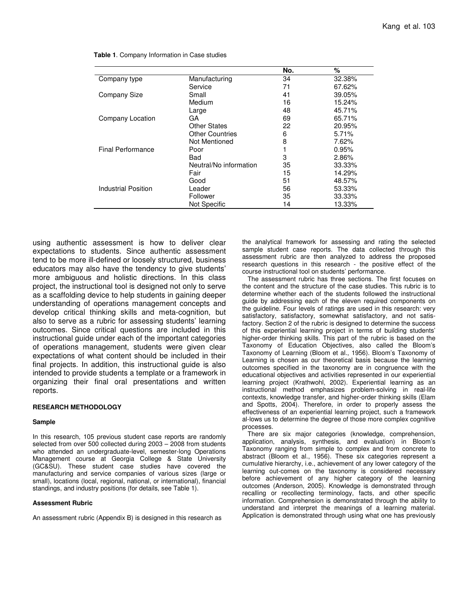|                            |                        | No. | %      |
|----------------------------|------------------------|-----|--------|
| Company type               | Manufacturing          | 34  | 32.38% |
|                            | Service                | 71  | 67.62% |
| <b>Company Size</b>        | Small                  | 41  | 39.05% |
|                            | Medium                 | 16  | 15.24% |
|                            | Large                  | 48  | 45.71% |
| Company Location           | GA                     | 69  | 65.71% |
|                            | Other States           | 22  | 20.95% |
|                            | <b>Other Countries</b> | 6   | 5.71%  |
|                            | Not Mentioned          | 8   | 7.62%  |
| <b>Final Performance</b>   | Poor                   |     | 0.95%  |
|                            | <b>Bad</b>             | 3   | 2.86%  |
|                            | Neutral/No information | 35  | 33.33% |
|                            | Fair                   | 15  | 14.29% |
|                            | Good                   | 51  | 48.57% |
| <b>Industrial Position</b> | Leader                 | 56  | 53.33% |
|                            | Follower               | 35  | 33.33% |
|                            | <b>Not Specific</b>    | 14  | 13.33% |
|                            |                        |     |        |

**Table 1**. Company Information in Case studies

using authentic assessment is how to deliver clear expectations to students. Since authentic assessment tend to be more ill-defined or loosely structured, business educators may also have the tendency to give students' more ambiguous and holistic directions. In this class project, the instructional tool is designed not only to serve as a scaffolding device to help students in gaining deeper understanding of operations management concepts and develop critical thinking skills and meta-cognition, but also to serve as a rubric for assessing students' learning outcomes. Since critical questions are included in this instructional guide under each of the important categories of operations management, students were given clear expectations of what content should be included in their final projects. In addition, this instructional guide is also intended to provide students a template or a framework in organizing their final oral presentations and written reports.

#### **RESEARCH METHODOLOGY**

#### **Sample**

In this research, 105 previous student case reports are randomly selected from over 500 collected during 2003 – 2008 from students who attended an undergraduate-level, semester-long Operations Management course at Georgia College & State University (GC&SU). These student case studies have covered the manufacturing and service companies of various sizes (large or small), locations (local, regional, national, or international), financial standings, and industry positions (for details, see Table 1).

#### **Assessment Rubric**

An assessment rubric (Appendix B) is designed in this research as

the analytical framework for assessing and rating the selected sample student case reports. The data collected through this assessment rubric are then analyzed to address the proposed research questions in this research - the positive effect of the course instructional tool on students' performance.

The assessment rubric has three sections. The first focuses on the content and the structure of the case studies. This rubric is to determine whether each of the students followed the instructional guide by addressing each of the eleven required components on the guideline. Four levels of ratings are used in this research: very satisfactory, satisfactory, somewhat satisfactory, and not satisfactory. Section 2 of the rubric is designed to determine the success of this experiential learning project in terms of building students' higher-order thinking skills. This part of the rubric is based on the Taxonomy of Education Objectives, also called the Bloom's Taxonomy of Learning (Bloom et al., 1956). Bloom's Taxonomy of Learning is chosen as our theoretical basis because the learning outcomes specified in the taxonomy are in congruence with the educational objectives and activities represented in our experiential learning project (Krathwohl, 2002). Experiential learning as an instructional method emphasizes problem-solving in real-life contexts, knowledge transfer, and higher-order thinking skills (Elam and Spotts, 2004). Therefore, in order to properly assess the effectiveness of an experiential learning project, such a framework al-lows us to determine the degree of those more complex cognitive processes.

There are six major categories (knowledge, comprehension, application, analysis, synthesis, and evaluation) in Bloom's Taxonomy ranging from simple to complex and from concrete to abstract (Bloom et al., 1956). These six categories represent a cumulative hierarchy, i.e., achievement of any lower category of the learning out-comes on the taxonomy is considered necessary before achievement of any higher category of the learning outcomes (Anderson, 2005). Knowledge is demonstrated through recalling or recollecting terminology, facts, and other specific information. Comprehension is demonstrated through the ability to understand and interpret the meanings of a learning material. Application is demonstrated through using what one has previously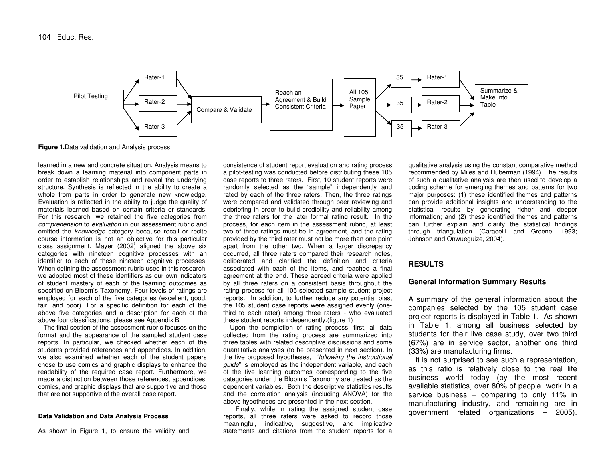

**Figure 1.**Data validation and Analysis process

learned in a new and concrete situation. Analysis means to break down <sup>a</sup> learning material into component parts in order to establish relationships and reveal the underlying structure. Synthesis is reflected in the ability to create <sup>a</sup> whole from parts in order to generate new knowledge. Evaluation is reflected in the ability to judge the quality of materials learned based on certain criteria or standards. For this research, we retained the five categories from *comprehension* to *evaluation* in our assessment rubric and omitted the *knowledge* category because recall or recite course information is not an objective for this particular class assignment. Mayer (2002) aligned the above six categories with nineteen cognitive processes with an identifier to each of these nineteen cognitive processes. When defining the assessment rubric used in this research, we adopted most of these identifiers as our own indicators of student mastery of each of the learning outcomes as specified on Bloom's Taxonomy. Four levels of ratings are employed for each of the five categories (excellent, good, fair, and poor). For <sup>a</sup> specific definition for each of the above five categories and <sup>a</sup> description for each of the above four classifications, please see Appendix B.

The final section of the assessment rubric focuses on the format and the appearance of the sampled student case reports. In particular, we checked whether each of the students provided references and appendices. In addition, we also examined whether each of the student papers chose to use comics and graphic displays to enhance the readability of the required case report. Furthermore, we made <sup>a</sup> distinction between those references, appendices, comics, and graphic displays that are supportive and those that are not supportive of the overall case report.

#### **Data Validation and Data Analysis Process**

As shown in Figure 1, to ensure the validity and

consistence of student report evaluation and rating process, a pilot-testing was conducted before distributing these 105 case reports to three raters. First, 10 student reports were randomly selected as the "sample" independently and rated by each of the three raters. Then, the three ratings were compared and validated through peer reviewing and debriefing in order to build credibility and reliability among the three raters for the later formal rating result. In the process, for each item in the assessment rubric, at least two of three ratings must be in agreement, and the rating provided by the third rater must not be more than one point apart from the other two. When <sup>a</sup> larger discrepancy occurred, all three raters compared their research notes, deliberated and clarified the definition and criteria associated with each of the items, and reached <sup>a</sup> final agreement at the end. These agreed criteria were applied by all three raters on <sup>a</sup> consistent basis throughout the rating process for all 105 selected sample student project reports. In addition, to further reduce any potential bias, the 105 student case reports were assigned evenly (onethird to each rater) among three raters - who evaluated these student reports independently.(figure 1)

Upon the completion of rating process, first, all data collected from the rating process are summarized into three tables with related descriptive discussions and some quantitative analyses (to be presented in next section). In the five proposed hypotheses, "*following the instructional guide*" is employed as the independent variable, and each of the five learning outcomes corresponding to the five categories under the Bloom's Taxonomy are treated as the dependent variables. Both the descriptive statistics results and the correlation analysis (including ANOVA) for the above hypotheses are presented in the next section.

Finally, while in rating the assigned student case reports, all three raters were asked to record those meaningful, indicative, suggestive, and implicative statements and citations from the student reports for <sup>a</sup>

qualitative analysis using the constant comparative method recommended by Miles and Huberman (1994). The results of such <sup>a</sup> qualitative analysis are then used to develop <sup>a</sup> coding scheme for emerging themes and patterns for two major purposes: (1) these identified themes and patterns can provide additional insights and understanding to the statistical results by generating richer and deeper information; and (2) these identified themes and patterns can further explain and clarify the statistical findings through triangulation (Caracelli and Greene, 1993; Johnson and Onwueguize, 2004).

#### **RESULTS**

#### **General Information Summary Results**

A summary of the general information about the companies selected by the 105 student case project reports is displayed in Table 1. As shown in Table 1, among all business selected by students for their live case study, over two third (67%) are in service sector, another one third (33%) are manufacturing firms.

It is not surprised to see such <sup>a</sup> representation, as this ratio is relatively close to the real life business world today (by the most recent available statistics, over 80% of people work in <sup>a</sup> service business – comparing to only 11% in manufacturing industry, and remaining are in government related organizations – 2005).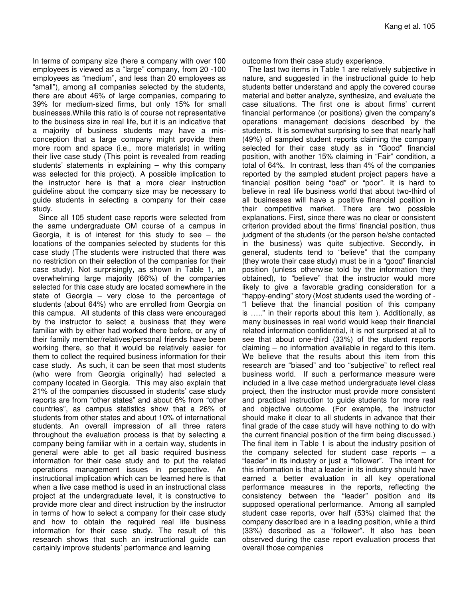In terms of company size (here a company with over 100 employees is viewed as a "large" company, from 20 -100 employees as "medium", and less than 20 employees as "small"), among all companies selected by the students, there are about 46% of large companies, comparing to 39% for medium-sized firms, but only 15% for small businesses.While this ratio is of course not representative to the business size in real life, but it is an indicative that a majority of business students may have a misconception that a large company might provide them more room and space (i.e., more materials) in writing their live case study (This point is revealed from reading students' statements in explaining – why this company was selected for this project). A possible implication to the instructor here is that a more clear instruction guideline about the company size may be necessary to guide students in selecting a company for their case study.

Since all 105 student case reports were selected from the same undergraduate OM course of a campus in Georgia, it is of interest for this study to see  $-$  the locations of the companies selected by students for this case study (The students were instructed that there was no restriction on their selection of the companies for their case study). Not surprisingly, as shown in Table 1, an overwhelming large majority (66%) of the companies selected for this case study are located somewhere in the state of Georgia – very close to the percentage of students (about 64%) who are enrolled from Georgia on this campus. All students of this class were encouraged by the instructor to select a business that they were familiar with by either had worked there before, or any of their family member/relatives/personal friends have been working there, so that it would be relatively easier for them to collect the required business information for their case study. As such, it can be seen that most students (who were from Georgia originally) had selected a company located in Georgia. This may also explain that 21% of the companies discussed in students' case study reports are from "other states" and about 6% from "other countries", as campus statistics show that a 26% of students from other states and about 10% of international students. An overall impression of all three raters throughout the evaluation process is that by selecting a company being familiar with in a certain way, students in general were able to get all basic required business information for their case study and to put the related operations management issues in perspective. An instructional implication which can be learned here is that when a live case method is used in an instructional class project at the undergraduate level, it is constructive to provide more clear and direct instruction by the instructor in terms of how to select a company for their case study and how to obtain the required real life business information for their case study. The result of this research shows that such an instructional guide can certainly improve students' performance and learning

outcome from their case study experience.

The last two items in Table 1 are relatively subjective in nature, and suggested in the instructional guide to help students better understand and apply the covered course material and better analyze, synthesize, and evaluate the case situations. The first one is about firms' current financial performance (or positions) given the company's operations management decisions described by the students. It is somewhat surprising to see that nearly half (49%) of sampled student reports claiming the company selected for their case study as in "Good" financial position, with another 15% claiming in "Fair" condition, a total of 64%. In contrast, less than 4% of the companies reported by the sampled student project papers have a financial position being "bad" or "poor". It is hard to believe in real life business world that about two-third of all businesses will have a positive financial position in their competitive market. There are two possible explanations. First, since there was no clear or consistent criterion provided about the firms' financial position, thus judgment of the students (or the person he/she contacted in the business) was quite subjective. Secondly, in general, students tend to "believe" that the company (they wrote their case study) must be in a "good" financial position (unless otherwise told by the information they obtained), to "believe" that the instructor would more likely to give a favorable grading consideration for a "happy-ending" story (Most students used the wording of - "I believe that the financial position of this company is ….." in their reports about this item ). Additionally, as many businesses in real world would keep their financial related information confidential, it is not surprised at all to see that about one-third (33%) of the student reports claiming – no information available in regard to this item. We believe that the results about this item from this research are "biased" and too "subjective" to reflect real business world. If such a performance measure were included in a live case method undergraduate level class project, then the instructor must provide more consistent and practical instruction to guide students for more real and objective outcome. (For example, the instructor should make it clear to all students in advance that their final grade of the case study will have nothing to do with the current financial position of the firm being discussed.) The final item in Table 1 is about the industry position of the company selected for student case reports  $-$  a "leader" in its industry or just a "follower". The intent for this information is that a leader in its industry should have earned a better evaluation in all key operational performance measures in the reports, reflecting the consistency between the "leader" position and its supposed operational performance. Among all sampled student case reports, over half (53%) claimed that the company described are in a leading position, while a third (33%) described as a "follower". It also has been observed during the case report evaluation process that overall those companies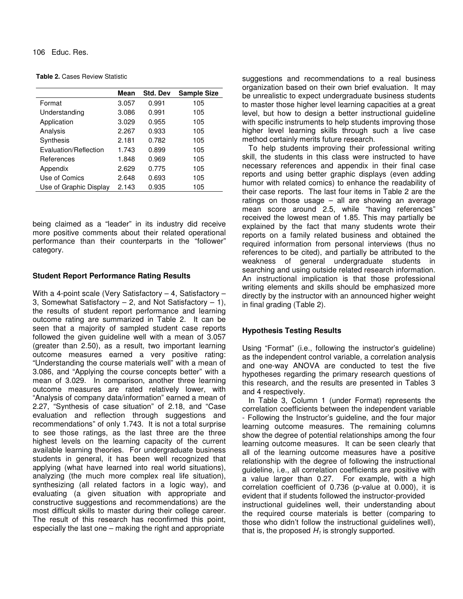106 Educ. Res.

| <b>Table 2.</b> Cases Review Statistic |  |
|----------------------------------------|--|
|----------------------------------------|--|

|                        | Mean  | <b>Std. Dev</b> | <b>Sample Size</b> |
|------------------------|-------|-----------------|--------------------|
| Format                 | 3.057 | 0.991           | 105                |
| Understanding          | 3.086 | 0.991           | 105                |
| Application            | 3.029 | 0.955           | 105                |
| Analysis               | 2.267 | 0.933           | 105                |
| Synthesis              | 2.181 | 0.782           | 105                |
| Evaluation/Reflection  | 1.743 | 0.899           | 105                |
| References             | 1.848 | 0.969           | 105                |
| Appendix               | 2.629 | 0.775           | 105                |
| Use of Comics          | 2.648 | 0.693           | 105                |
| Use of Graphic Display | 2.143 | 0.935           | 105                |

being claimed as a "leader" in its industry did receive more positive comments about their related operational performance than their counterparts in the "follower" category.

#### **Student Report Performance Rating Results**

With a 4-point scale (Very Satisfactory – 4, Satisfactory – 3, Somewhat Satisfactory  $-2$ , and Not Satisfactory  $-1$ ), the results of student report performance and learning outcome rating are summarized in Table 2. It can be seen that a majority of sampled student case reports followed the given guideline well with a mean of 3.057 (greater than 2.50), as a result, two important learning outcome measures earned a very positive rating: "Understanding the course materials well" with a mean of 3.086, and "Applying the course concepts better" with a mean of 3.029. In comparison, another three learning outcome measures are rated relatively lower, with "Analysis of company data/information" earned a mean of 2.27, "Synthesis of case situation" of 2.18, and "Case evaluation and reflection through suggestions and recommendations" of only 1.743. It is not a total surprise to see those ratings, as the last three are the three highest levels on the learning capacity of the current available learning theories. For undergraduate business students in general, it has been well recognized that applying (what have learned into real world situations), analyzing (the much more complex real life situation), synthesizing (all related factors in a logic way), and evaluating (a given situation with appropriate and constructive suggestions and recommendations) are the most difficult skills to master during their college career. The result of this research has reconfirmed this point, especially the last one – making the right and appropriate

suggestions and recommendations to a real business organization based on their own brief evaluation. It may be unrealistic to expect undergraduate business students to master those higher level learning capacities at a great level, but how to design a better instructional guideline with specific instruments to help students improving those higher level learning skills through such a live case method certainly merits future research.

To help students improving their professional writing skill, the students in this class were instructed to have necessary references and appendix in their final case reports and using better graphic displays (even adding humor with related comics) to enhance the readability of their case reports. The last four items in Table 2 are the ratings on those usage – all are showing an average mean score around 2.5, while "having references" received the lowest mean of 1.85. This may partially be explained by the fact that many students wrote their reports on a family related business and obtained the required information from personal interviews (thus no references to be cited), and partially be attributed to the weakness of general undergraduate students in searching and using outside related research information. An instructional implication is that those professional writing elements and skills should be emphasized more directly by the instructor with an announced higher weight in final grading (Table 2).

### **Hypothesis Testing Results**

Using "Format" (i.e., following the instructor's guideline) as the independent control variable, a correlation analysis and one-way ANOVA are conducted to test the five hypotheses regarding the primary research questions of this research, and the results are presented in Tables 3 and 4 respectively.

In Table 3, Column 1 (under Format) represents the correlation coefficients between the independent variable - Following the Instructor's guideline, and the four major learning outcome measures. The remaining columns show the degree of potential relationships among the four learning outcome measures. It can be seen clearly that all of the learning outcome measures have a positive relationship with the degree of following the instructional guideline, i.e., all correlation coefficients are positive with a value larger than 0.27. For example, with a high correlation coefficient of 0.736 (p-value at 0.000), it is evident that if students followed the instructor-provided instructional guidelines well, their understanding about the required course materials is better (comparing to those who didn't follow the instructional guidelines well), that is, the proposed  $H_1$  is strongly supported.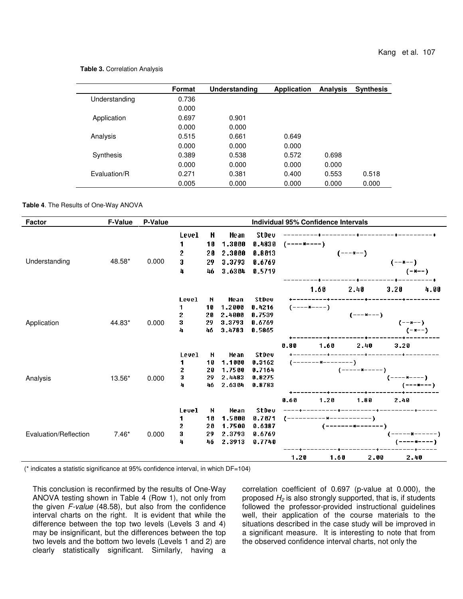#### **Table 3.** Correlation Analysis

|               | Format | Understanding | <b>Application</b> | <b>Analysis</b> | <b>Synthesis</b> |
|---------------|--------|---------------|--------------------|-----------------|------------------|
| Understanding | 0.736  |               |                    |                 |                  |
|               | 0.000  |               |                    |                 |                  |
| Application   | 0.697  | 0.901         |                    |                 |                  |
|               | 0.000  | 0.000         |                    |                 |                  |
| Analysis      | 0.515  | 0.661         | 0.649              |                 |                  |
|               | 0.000  | 0.000         | 0.000              |                 |                  |
| Synthesis     | 0.389  | 0.538         | 0.572              | 0.698           |                  |
|               | 0.000  | 0.000         | 0.000              | 0.000           |                  |
| Fvaluation/R  | 0.271  | 0.381         | 0.400              | 0.553           | 0.518            |
|               | 0.005  | 0.000         | 0.000              | 0.000           | 0.000            |

#### **Table 4**. The Results of One-Way ANOVA

| <b>Factor</b>         | <b>F-Value</b> | P-Value |                                              |                           |                                              |                                               |                     | Individual 95% Confidence Intervals |                                                |                                                             |
|-----------------------|----------------|---------|----------------------------------------------|---------------------------|----------------------------------------------|-----------------------------------------------|---------------------|-------------------------------------|------------------------------------------------|-------------------------------------------------------------|
| Understanding         | 48.58*         | 0.000   | <b>Level</b><br>1<br>$\mathbf 2$<br>3<br>4   | N<br>10<br>20<br>29<br>46 | Mean<br>1.3000<br>2.3000<br>3.3793<br>3.6304 | StDev<br>0.4830<br>0.8013<br>0.6769<br>0.5719 | (----*----)         |                                     | $(- - + - -)$                                  | $(- - \frac{1}{2} - \frac{1}{2})$<br>$(-*-)$                |
| Application           | 44.83*         | 0.000   | <b>Level</b><br>1<br>$\mathbf{2}$<br>3<br>4  | N<br>10<br>20<br>29<br>46 | Mean<br>1.2000<br>2.4000<br>3.3793<br>3.4783 | StDev<br>0.4216<br>0.7539<br>0.6769<br>0.5865 | (----*----)<br>0.80 | 1.60<br>1.60                        | 2.40<br>$(---*---)$<br>2.40                    | 3.20<br>4.00<br>$(- - \frac{1}{2} - -)$<br>$(-*--)$<br>3.20 |
| Analysis              | 13.56*         | 0.000   | <b>Level</b><br>1.<br>$\mathbf{2}$<br>3<br>4 | N<br>10<br>20<br>29<br>46 | Mean<br>1.1000<br>1.7500<br>2.4483<br>2.6304 | StDev<br>0.3162<br>0.7164<br>0.8275<br>0.8783 | 0.60                | (------- <b>*</b> --------)<br>1.20 | $(----+---)$<br>1.80                           | $(-----$<br>(---*---)<br>2.40                               |
| Evaluation/Reflection | $7.46*$        | 0.000   | <b>Level</b><br>1<br>2<br>3<br>4             | N<br>10<br>20<br>29<br>46 | Mean<br>1.5000<br>1.7500<br>2.3793<br>2.3913 | StDev<br>0.7071<br>0.6387<br>0.6769<br>0.7740 | 1.20                | 1.60                                | ---------+------<br>(--------*-------)<br>2.00 | (-----*------)<br>(----*----)<br>2.40                       |

(\* indicates a statistic significance at 95% confidence interval, in which DF=104)

This conclusion is reconfirmed by the results of One-Way ANOVA testing shown in Table 4 (Row 1), not only from the given *F-value* (48.58), but also from the confidence interval charts on the right. It is evident that while the difference between the top two levels (Levels 3 and 4) may be insignificant, but the differences between the top two levels and the bottom two levels (Levels 1 and 2) are clearly statistically significant. Similarly, having a correlation coefficient of 0.697 (p-value at 0.000), the proposed *H<sup>2</sup>* is also strongly supported, that is, if students followed the professor-provided instructional guidelines well, their application of the course materials to the situations described in the case study will be improved in a significant measure. It is interesting to note that from the observed confidence interval charts, not only the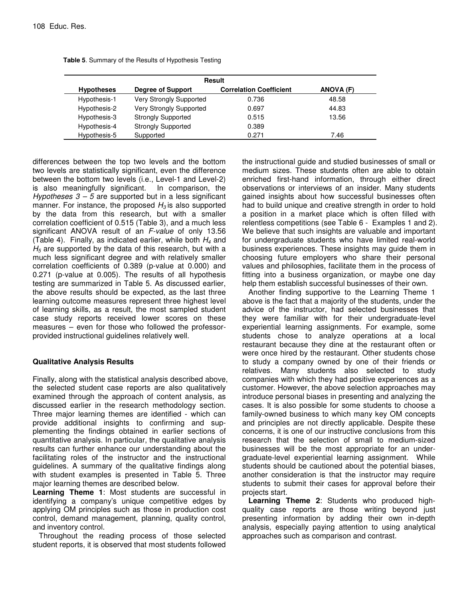| Result            |                           |                                |           |  |  |
|-------------------|---------------------------|--------------------------------|-----------|--|--|
| <b>Hypotheses</b> | Degree of Support         | <b>Correlation Coefficient</b> | ANOVA (F) |  |  |
| Hypothesis-1      | Very Strongly Supported   | 0.736                          | 48.58     |  |  |
| Hypothesis-2      | Very Strongly Supported   | 0.697                          | 44.83     |  |  |
| Hypothesis-3      | <b>Strongly Supported</b> | 0.515                          | 13.56     |  |  |
| Hypothesis-4      | <b>Strongly Supported</b> | 0.389                          |           |  |  |
| Hypothesis-5      | Supported                 | 0.271                          | 7.46      |  |  |

|  |  |  |  | Table 5. Summary of the Results of Hypothesis Testing |  |
|--|--|--|--|-------------------------------------------------------|--|
|--|--|--|--|-------------------------------------------------------|--|

differences between the top two levels and the bottom two levels are statistically significant, even the difference between the bottom two levels (i.e., Level-1 and Level-2) is also meaningfully significant. In comparison, the *Hypotheses 3 – 5* are supported but in a less significant manner. For instance, the proposed  $H_3$  is also supported by the data from this research, but with a smaller correlation coefficient of 0.515 (Table 3), and a much less significant ANOVA result of an *F-value* of only 13.56 (Table 4). Finally, as indicated earlier, while both *H<sup>4</sup>* and *H<sup>5</sup>* are supported by the data of this research, but with a much less significant degree and with relatively smaller correlation coefficients of 0.389 (p-value at 0.000) and 0.271 (p-value at 0.005). The results of all hypothesis testing are summarized in Table 5. As discussed earlier, the above results should be expected, as the last three learning outcome measures represent three highest level of learning skills, as a result, the most sampled student case study reports received lower scores on these measures – even for those who followed the professorprovided instructional guidelines relatively well.

# **Qualitative Analysis Results**

Finally, along with the statistical analysis described above, the selected student case reports are also qualitatively examined through the approach of content analysis, as discussed earlier in the research methodology section. Three major learning themes are identified - which can provide additional insights to confirming and supplementing the findings obtained in earlier sections of quantitative analysis. In particular, the qualitative analysis results can further enhance our understanding about the facilitating roles of the instructor and the instructional guidelines. A summary of the qualitative findings along with student examples is presented in Table 5. Three major learning themes are described below.

**Learning Theme 1**: Most students are successful in identifying a company's unique competitive edges by applying OM principles such as those in production cost control, demand management, planning, quality control, and inventory control.

Throughout the reading process of those selected student reports, it is observed that most students followed the instructional guide and studied businesses of small or medium sizes. These students often are able to obtain enriched first-hand information, through either direct observations or interviews of an insider. Many students gained insights about how successful businesses often had to build unique and creative strength in order to hold a position in a market place which is often filled with relentless competitions (see Table 6 - Examples 1 and 2). We believe that such insights are valuable and important for undergraduate students who have limited real-world business experiences. These insights may guide them in choosing future employers who share their personal values and philosophies, facilitate them in the process of fitting into a business organization, or maybe one day help them establish successful businesses of their own.

Another finding supportive to the Learning Theme 1 above is the fact that a majority of the students, under the advice of the instructor, had selected businesses that they were familiar with for their undergraduate-level experiential learning assignments. For example, some students chose to analyze operations at a local restaurant because they dine at the restaurant often or were once hired by the restaurant. Other students chose to study a company owned by one of their friends or relatives. Many students also selected to study companies with which they had positive experiences as a customer. However, the above selection approaches may introduce personal biases in presenting and analyzing the cases. It is also possible for some students to choose a family-owned business to which many key OM concepts and principles are not directly applicable. Despite these concerns, it is one of our instructive conclusions from this research that the selection of small to medium-sized businesses will be the most appropriate for an undergraduate-level experiential learning assignment. While students should be cautioned about the potential biases, another consideration is that the instructor may require students to submit their cases for approval before their projects start.

**Learning Theme 2**: Students who produced highquality case reports are those writing beyond just presenting information by adding their own in-depth analysis, especially paying attention to using analytical approaches such as comparison and contrast.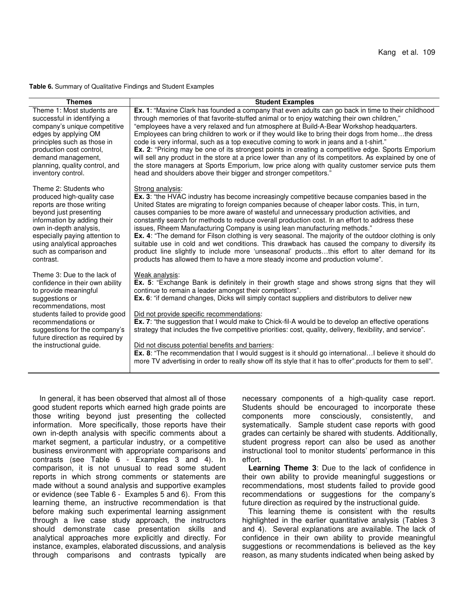#### **Table 6.** Summary of Qualitative Findings and Student Examples

| <b>Themes</b>                   | <b>Student Examples</b>                                                                                      |
|---------------------------------|--------------------------------------------------------------------------------------------------------------|
| Theme 1: Most students are      | Ex. 1: "Maxine Clark has founded a company that even adults can go back in time to their childhood           |
| successful in identifying a     | through memories of that favorite-stuffed animal or to enjoy watching their own children,"                   |
| company's unique competitive    | "employees have a very relaxed and fun atmosphere at Build-A-Bear Workshop headquarters.                     |
| edges by applying OM            | Employees can bring children to work or if they would like to bring their dogs from homethe dress            |
| principles such as those in     | code is very informal, such as a top executive coming to work in jeans and a t-shirt."                       |
| production cost control,        | <b>Ex.</b> 2: "Pricing may be one of its strongest points in creating a competitive edge. Sports Emporium    |
| demand management,              | will sell any product in the store at a price lower than any of its competitors. As explained by one of      |
| planning, quality control, and  | the store managers at Sports Emporium, low price along with quality customer service puts them               |
| inventory control.              | head and shoulders above their bigger and stronger competitors."                                             |
| Theme 2: Students who           | Strong analysis:                                                                                             |
| produced high-quality case      | <b>Ex.</b> 3: "the HVAC industry has become increasingly competitive because companies based in the          |
| reports are those writing       | United States are migrating to foreign companies because of cheaper labor costs. This, in turn,              |
| beyond just presenting          | causes companies to be more aware of wasteful and unnecessary production activities, and                     |
| information by adding their     | constantly search for methods to reduce overall production cost. In an effort to address these               |
| own in-depth analysis,          | issues, Rheem Manufacturing Company is using lean manufacturing methods."                                    |
| especially paying attention to  | <b>Ex.</b> 4: "The demand for Filson clothing is very seasonal. The majority of the outdoor clothing is only |
| using analytical approaches     | suitable use in cold and wet conditions. This drawback has caused the company to diversify its               |
| such as comparison and          | product line slightly to include more 'unseasonal' productsthis effort to alter demand for its               |
| contrast.                       | products has allowed them to have a more steady income and production volume".                               |
| Theme 3: Due to the lack of     | Weak analysis:                                                                                               |
| confidence in their own ability | Ex. 5: "Exchange Bank is definitely in their growth stage and shows strong signs that they will              |
| to provide meaningful           | continue to remain a leader amongst their competitors".                                                      |
| suggestions or                  | Ex. 6: "if demand changes, Dicks will simply contact suppliers and distributors to deliver new               |
| recommendations, most           | Did not provide specific recommendations:                                                                    |
| students failed to provide good | Ex. 7: "the suggestion that I would make to Chick-fil-A would be to develop an effective operations          |
| recommendations or              | strategy that includes the five competitive priorities: cost, quality, delivery, flexibility, and service".  |
| suggestions for the company's   | Did not discuss potential benefits and barriers:                                                             |
| future direction as required by | Ex. 8: "The recommendation that I would suggest is it should go internationalI believe it should do          |
| the instructional guide.        | more TV advertising in order to really show off its style that it has to offer" products for them to sell".  |

In general, it has been observed that almost all of those good student reports which earned high grade points are those writing beyond just presenting the collected information. More specifically, those reports have their own in-depth analysis with specific comments about a market segment, a particular industry, or a competitive business environment with appropriate comparisons and contrasts (see Table 6 - Examples 3 and 4). In comparison, it is not unusual to read some student reports in which strong comments or statements are made without a sound analysis and supportive examples or evidence (see Table 6 - Examples 5 and 6). From this learning theme, an instructive recommendation is that before making such experimental learning assignment through a live case study approach, the instructors should demonstrate case presentation skills and analytical approaches more explicitly and directly. For instance, examples, elaborated discussions, and analysis through comparisons and contrasts typically are

necessary components of a high-quality case report. Students should be encouraged to incorporate these components more consciously, consistently, and systematically. Sample student case reports with good grades can certainly be shared with students. Additionally, student progress report can also be used as another instructional tool to monitor students' performance in this effort.

**Learning Theme 3**: Due to the lack of confidence in their own ability to provide meaningful suggestions or recommendations, most students failed to provide good recommendations or suggestions for the company's future direction as required by the instructional guide.

This learning theme is consistent with the results highlighted in the earlier quantitative analysis (Tables 3 and 4). Several explanations are available. The lack of confidence in their own ability to provide meaningful suggestions or recommendations is believed as the key reason, as many students indicated when being asked by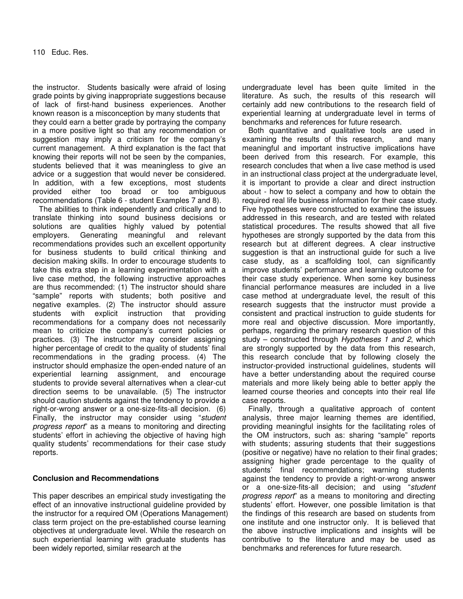the instructor. Students basically were afraid of losing grade points by giving inappropriate suggestions because of lack of first-hand business experiences. Another known reason is a misconception by many students that they could earn a better grade by portraying the company in a more positive light so that any recommendation or suggestion may imply a criticism for the company's current management. A third explanation is the fact that knowing their reports will not be seen by the companies, students believed that it was meaningless to give an advice or a suggestion that would never be considered. In addition, with a few exceptions, most students provided either too broad or too ambiguous recommendations (Table 6 - student Examples 7 and 8).

The abilities to think independently and critically and to translate thinking into sound business decisions or solutions are qualities highly valued by potential employers. Generating meaningful and relevant recommendations provides such an excellent opportunity for business students to build critical thinking and decision making skills. In order to encourage students to take this extra step in a learning experimentation with a live case method, the following instructive approaches are thus recommended: (1) The instructor should share "sample" reports with students; both positive and negative examples. (2) The instructor should assure students with explicit instruction that providing recommendations for a company does not necessarily mean to criticize the company's current policies or practices. (3) The instructor may consider assigning higher percentage of credit to the quality of students' final recommendations in the grading process. (4) The instructor should emphasize the open-ended nature of an experiential learning assignment, and encourage students to provide several alternatives when a clear-cut direction seems to be unavailable. (5) The instructor should caution students against the tendency to provide a right-or-wrong answer or a one-size-fits-all decision. (6) Finally, the instructor may consider using "*student progress report*" as a means to monitoring and directing students' effort in achieving the objective of having high quality students' recommendations for their case study reports.

# **Conclusion and Recommendations**

This paper describes an empirical study investigating the effect of an innovative instructional guideline provided by the instructor for a required OM (Operations Management) class term project on the pre-established course learning objectives at undergraduate level. While the research on such experiential learning with graduate students has been widely reported, similar research at the

undergraduate level has been quite limited in the literature. As such, the results of this research will certainly add new contributions to the research field of experiential learning at undergraduate level in terms of benchmarks and references for future research.

Both quantitative and qualitative tools are used in examining the results of this research, and many meaningful and important instructive implications have been derived from this research. For example, this research concludes that when a live case method is used in an instructional class project at the undergraduate level, it is important to provide a clear and direct instruction about - how to select a company and how to obtain the required real life business information for their case study. Five hypotheses were constructed to examine the issues addressed in this research, and are tested with related statistical procedures. The results showed that all five hypotheses are strongly supported by the data from this research but at different degrees. A clear instructive suggestion is that an instructional guide for such a live case study, as a scaffolding tool, can significantly improve students' performance and learning outcome for their case study experience. When some key business financial performance measures are included in a live case method at undergraduate level, the result of this research suggests that the instructor must provide a consistent and practical instruction to guide students for more real and objective discussion. More importantly, perhaps, regarding the primary research question of this study – constructed through *Hypotheses 1 and 2*, which are strongly supported by the data from this research, this research conclude that by following closely the instructor-provided instructional guidelines, students will have a better understanding about the required course materials and more likely being able to better apply the learned course theories and concepts into their real life case reports.

Finally, through a qualitative approach of content analysis, three major learning themes are identified, providing meaningful insights for the facilitating roles of the OM instructors, such as: sharing "sample" reports with students; assuring students that their suggestions (positive or negative) have no relation to their final grades; assigning higher grade percentage to the quality of students' final recommendations; warning students against the tendency to provide a right-or-wrong answer or a one-size-fits-all decision; and using "*student progress report*" as a means to monitoring and directing students' effort. However, one possible limitation is that the findings of this research are based on students from one institute and one instructor only. It is believed that the above instructive implications and insights will be contributive to the literature and may be used as benchmarks and references for future research.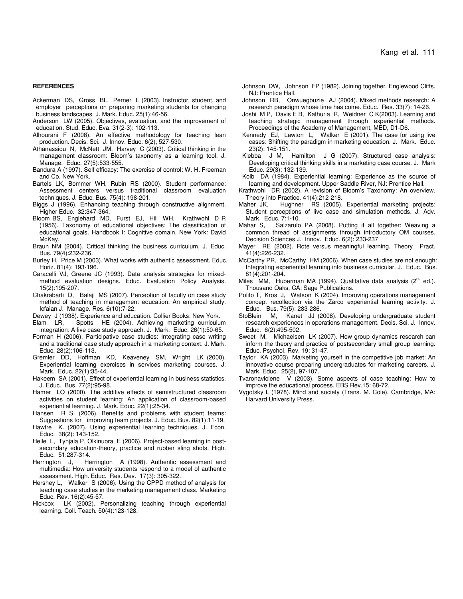#### **REFERENCES**

- Ackerman DS, Gross BL, Perner L (2003). Instructor, student, and employer perceptions on preparing marketing students for changing business landscapes. J. Mark. Educ. 25(1):46-56.
- Anderson LW (2005). Objectives, evaluation, and the improvement of education. Stud. Educ. Eva. 31(2-3): 102-113.
- Alhourani F (2008). An effective methodology for teaching lean production. Decis. Sci. J. Innov. Educ. 6(2), 527-530.
- Athanassiou N, McNett JM, Harvey C (2003). Critical thinking in the management classroom: Bloom's taxonomy as a learning tool. J. Manage. Educ. 27(5):533-555.
- Bandura A (1997). Self efficacy: The exercise of control: W. H. Freeman and Co. New York.
- Bartels LK, Bommer WH, Rubin RS (2000). Student performance: Assessment centers versus traditional classroom evaluation techniques. J. Educ. Bus. 75(4): 198-201.
- Biggs J (1996). Enhancing teaching through constructive alignment. Higher Educ. 32:347-364.
- Bloom BS, Englehard MD, Furst EJ, Hill WH, Krathwohl D R (1956). Taxonomy of educational objectives: The classification of educational goals. Handbook I: Cognitive domain. New York: David McKay.
- Braun NM (2004). Critical thinking the business curriculum. J. Educ. Bus. 79(4):232-236.
- Burley H, Price M (2003). What works with authentic assessment. Educ. Horiz. 81(4): 193-196.
- Caracelli VJ, Greene JC (1993). Data analysis strategies for mixedmethod evaluation designs. Educ. Evaluation Policy Analysis. 15(2):195-207.
- Chakrabarti D, Balaji MS (2007). Perception of faculty on case study method of teaching in management education: An empirical study. Icfaian J. Manage. Res. 6(10):7-22.
- 
- Dewey J (1938). Experience and education. Collier Books: New York.<br>Elam LR, Spotts HE (2004). Achieving marketing curriculu Spotts HE (2004). Achieving marketing curriculum integration: A live case study approach. J. Mark. Educ. 26(1):50-65.
- Forman H (2006). Participative case studies: Integrating case writing and a traditional case study approach in a marketing context. J. Mark. Educ. 28(2):106-113.
- Gremler DD, Hoffman KD, Keaveney SM, Wright LK (2000). Experiential learning exercises in services marketing courses. J. Mark. Educ. 22(1):35-44.
- Hakeem SA (2001). Effect of experiential learning in business statistics. J. Educ. Bus. 77(2):95-98.
- Hamer LO (2000). The additive effects of semistructured classroom activities on student learning: An application of classroom-based experiential learning. J. Mark. Educ. 22(1):25-34.
- Hansen R S. (2006). Benefits and problems with student teams: Suggestions for improving team projects. J. Educ. Bus. 82(1):11-19.
- Hawtre K. (2007). Using experiential learning techniques. J. Econ. Educ. 38(2): 143-152.
- Helle L, Tynjala P, Olkinuora E (2006). Project-based learning in postsecondary education-theory, practice and rubber sling shots. High. Educ. 51:287-314.
- Herrington J, Herrington A (1998). Authentic assessment and multimedia: How university students respond to a model of authentic assessment. High. Educ. Res. Dev. 17(3): 305-322.
- Hershey L, Walker S (2006). Using the CPPD method of analysis for teaching case studies in the marketing management class. Marketing Educ. Rev. 16(2):45-57.
- Hickcox LK (2002). Personalizing teaching through experiential learning. Coll. Teach. 50(4):123-128.
- Johnson DW, Johnson FP (1982). Joining together. Englewood Cliffs, NJ: Prentice Hall.
- Johnson RB, Onwuegbuzie AJ (2004). Mixed methods research: A research paradigm whose time has come. Educ. Res. 33(7): 14-26.
- Joshi M P, Davis E B, Kathuria R, Weidner C K(2003). Learning and teaching strategic management through experiential methods. Proceedings of the Academy of Management, MED, D1-D6.
- Kennedy EJ, Lawton L, Walker E (2001). The case for using live cases: Shifting the paradigm in marketing education. J. Mark. Educ. 23(2): 145-151.
- Klebba J M, Hamilton J G (2007). Structured case analysis: Developing critical thinking skills in a marketing case course. J. Mark Educ. 29(3): 132-139.
- Kolb DA (1984). Experiential learning: Experience as the source of learning and development. Upper Saddle River, NJ: Prentice Hall.
- Krathwohl DR (2002). A revision of Bloom's Taxonomy: An overview. Theory into Practice. 41(4):212-218.
- Maher JK, Hughner RS (2005). Experiential marketing projects: Student perceptions of live case and simulation methods. J. Adv. Mark. Educ. 7:1-10.
- Mahar S, Salzarulo PA (2008). Putting it all together: Weaving a common thread of assignments through introductory OM courses. Decision Sciences J. Innov. Educ. 6(2): 233-237
- Mayer RE (2002). Rote versus meaningful learning. Theory Pract. 41(4):226-232.
- McCarthy PR, McCarthy HM (2006). When case studies are not enough: Integrating experiential learning into business curricular. J. Educ. Bus. 81(4):201-204.
- Miles MM, Huberman MA (1994). Qualitative data analysis (2<sup>nd</sup> ed.). Thousand Oaks, CA: Sage Publications.
- Polito T, Kros J, Watson K (2004). Improving operations management concept recollection via the Zarco experiential learning activity. J. Educ. Bus. 79(5): 283-286.
- StoBlein M, Kanet JJ (2008). Developing undergraduate student research experiences in operations management. Decis. Sci. J. Innov. Educ. 6(2):495-502.
- Sweet M, Michaelsen LK (2007). How group dynamics research can inform the theory and practice of postsecondary small group learning. Educ. Psychol. Rev. 19: 31-47.
- Taylor KA (2003). Marketing yourself in the competitive job market: An innovative course preparing undergraduates for marketing careers. J. Mark. Educ. 25(2), 97-107.
- Tvaronaviciene V (2003). Some aspects of case teaching: How to improve the educational process. EBS Rev.15: 68-72.
- Vygotsky L (1978). Mind and society (Trans. M. Cole). Cambridge, MA: Harvard University Press.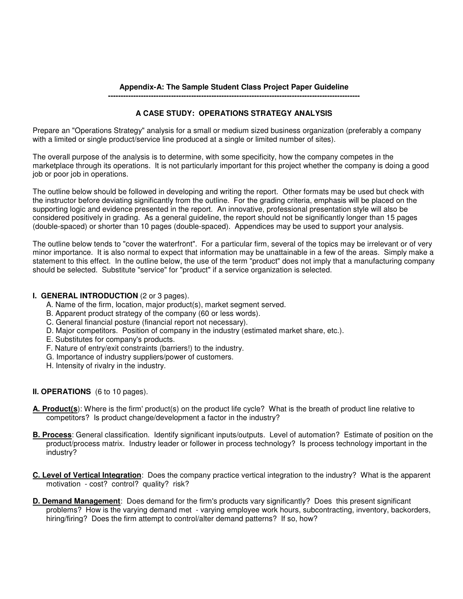# **Appendix-A: The Sample Student Class Project Paper Guideline**

**----------------------------------------------------------------------------------------------------**

# **A CASE STUDY: OPERATIONS STRATEGY ANALYSIS**

Prepare an "Operations Strategy" analysis for a small or medium sized business organization (preferably a company with a limited or single product/service line produced at a single or limited number of sites).

The overall purpose of the analysis is to determine, with some specificity, how the company competes in the marketplace through its operations. It is not particularly important for this project whether the company is doing a good job or poor job in operations.

The outline below should be followed in developing and writing the report. Other formats may be used but check with the instructor before deviating significantly from the outline. For the grading criteria, emphasis will be placed on the supporting logic and evidence presented in the report. An innovative, professional presentation style will also be considered positively in grading. As a general guideline, the report should not be significantly longer than 15 pages (double-spaced) or shorter than 10 pages (double-spaced). Appendices may be used to support your analysis.

The outline below tends to "cover the waterfront". For a particular firm, several of the topics may be irrelevant or of very minor importance. It is also normal to expect that information may be unattainable in a few of the areas. Simply make a statement to this effect. In the outline below, the use of the term "product" does not imply that a manufacturing company should be selected. Substitute "service" for "product" if a service organization is selected.

# **I. GENERAL INTRODUCTION** (2 or 3 pages).

- A. Name of the firm, location, major product(s), market segment served.
- B. Apparent product strategy of the company (60 or less words).
- C. General financial posture (financial report not necessary).
- D. Major competitors. Position of company in the industry (estimated market share, etc.).
- E. Substitutes for company's products.
- F. Nature of entry/exit constraints (barriers!) to the industry.
- G. Importance of industry suppliers/power of customers.
- H. Intensity of rivalry in the industry.

# **II. OPERATIONS** (6 to 10 pages).

- **A. Product(s**): Where is the firm' product(s) on the product life cycle? What is the breath of product line relative to competitors? Is product change/development a factor in the industry?
- **B. Process**: General classification. Identify significant inputs/outputs. Level of automation? Estimate of position on the product/process matrix. Industry leader or follower in process technology? Is process technology important in the industry?
- **C. Level of Vertical Integration**: Does the company practice vertical integration to the industry? What is the apparent motivation - cost? control? quality? risk?
- **D. Demand Management**: Does demand for the firm's products vary significantly? Does this present significant problems? How is the varying demand met - varying employee work hours, subcontracting, inventory, backorders, hiring/firing? Does the firm attempt to control/alter demand patterns? If so, how?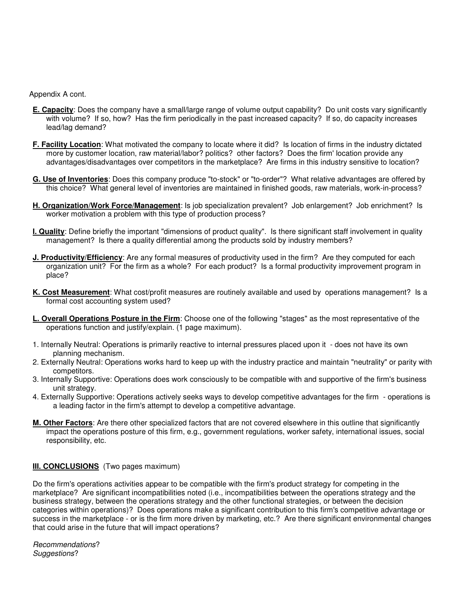Appendix A cont.

- **E. Capacity**: Does the company have a small/large range of volume output capability? Do unit costs vary significantly with volume? If so, how? Has the firm periodically in the past increased capacity? If so, do capacity increases lead/lag demand?
- **F. Facility Location**: What motivated the company to locate where it did? Is location of firms in the industry dictated more by customer location, raw material/labor? politics? other factors? Does the firm' location provide any advantages/disadvantages over competitors in the marketplace? Are firms in this industry sensitive to location?
- **G. Use of Inventories**: Does this company produce "to-stock" or "to-order"? What relative advantages are offered by this choice? What general level of inventories are maintained in finished goods, raw materials, work-in-process?
- **H. Organization/Work Force/Management**: Is job specialization prevalent? Job enlargement? Job enrichment? Is worker motivation a problem with this type of production process?
- **I. Quality**: Define briefly the important "dimensions of product quality". Is there significant staff involvement in quality management? Is there a quality differential among the products sold by industry members?
- **J. Productivity/Efficiency**: Are any formal measures of productivity used in the firm? Are they computed for each organization unit? For the firm as a whole? For each product? Is a formal productivity improvement program in place?
- **K. Cost Measurement**: What cost/profit measures are routinely available and used by operations management? Is a formal cost accounting system used?
- **L. Overall Operations Posture in the Firm**: Choose one of the following "stages" as the most representative of the operations function and justify/explain. (1 page maximum).
- 1. Internally Neutral: Operations is primarily reactive to internal pressures placed upon it does not have its own planning mechanism.
- 2. Externally Neutral: Operations works hard to keep up with the industry practice and maintain "neutrality" or parity with competitors.
- 3. Internally Supportive: Operations does work consciously to be compatible with and supportive of the firm's business unit strategy.
- 4. Externally Supportive: Operations actively seeks ways to develop competitive advantages for the firm operations is a leading factor in the firm's attempt to develop a competitive advantage.
- **M. Other Factors**: Are there other specialized factors that are not covered elsewhere in this outline that significantly impact the operations posture of this firm, e.g., government regulations, worker safety, international issues, social responsibility, etc.

# **III. CONCLUSIONS** (Two pages maximum)

Do the firm's operations activities appear to be compatible with the firm's product strategy for competing in the marketplace? Are significant incompatibilities noted (i.e., incompatibilities between the operations strategy and the business strategy, between the operations strategy and the other functional strategies, or between the decision categories within operations)? Does operations make a significant contribution to this firm's competitive advantage or success in the marketplace - or is the firm more driven by marketing, etc.? Are there significant environmental changes that could arise in the future that will impact operations?

*Recommendations*? *Suggestions*?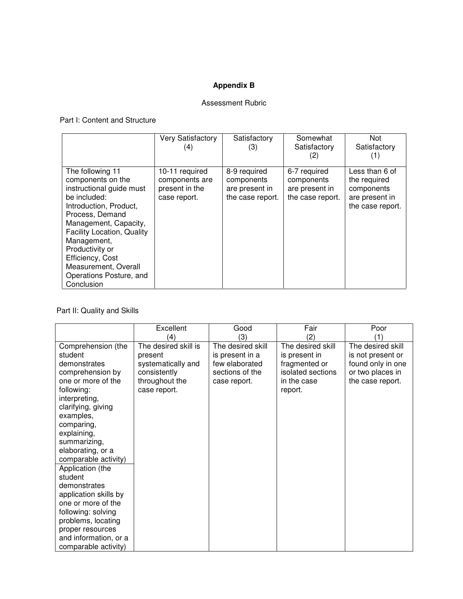# **Appendix B**

# Assessment Rubric

# Part I: Content and Structure

|                                                                                                                                                                                                                                                                                                                     | <b>Very Satisfactory</b>                                           | Satisfactory                                                     | Somewhat                                                         | Not                                                                                |
|---------------------------------------------------------------------------------------------------------------------------------------------------------------------------------------------------------------------------------------------------------------------------------------------------------------------|--------------------------------------------------------------------|------------------------------------------------------------------|------------------------------------------------------------------|------------------------------------------------------------------------------------|
|                                                                                                                                                                                                                                                                                                                     | (4)                                                                | (3)                                                              | Satisfactory                                                     | Satisfactory                                                                       |
|                                                                                                                                                                                                                                                                                                                     |                                                                    |                                                                  | (2)                                                              | (1)                                                                                |
| The following 11<br>components on the<br>instructional guide must<br>be included:<br>Introduction, Product,<br>Process, Demand<br>Management, Capacity,<br><b>Facility Location, Quality</b><br>Management,<br>Productivity or<br>Efficiency, Cost<br>Measurement, Overall<br>Operations Posture, and<br>Conclusion | 10-11 required<br>components are<br>present in the<br>case report. | 8-9 required<br>components<br>are present in<br>the case report. | 6-7 required<br>components<br>are present in<br>the case report. | Less than 6 of<br>the required<br>components<br>are present in<br>the case report. |

# Part II: Quality and Skills

|                       | Excellent            | Good              | Fair              | Poor              |
|-----------------------|----------------------|-------------------|-------------------|-------------------|
|                       | $\left( 4\right)$    | (3)               | (2)               | ′1`               |
| Comprehension (the    | The desired skill is | The desired skill | The desired skill | The desired skill |
| student               | present              | is present in a   | is present in     | is not present or |
| demonstrates          | systematically and   | few elaborated    | fragmented or     | found only in one |
| comprehension by      | consistently         | sections of the   | isolated sections | or two places in  |
| one or more of the    | throughout the       | case report.      | in the case       | the case report.  |
| following:            | case report.         |                   | report.           |                   |
| interpreting,         |                      |                   |                   |                   |
| clarifying, giving    |                      |                   |                   |                   |
| examples,             |                      |                   |                   |                   |
| comparing,            |                      |                   |                   |                   |
| explaining,           |                      |                   |                   |                   |
| summarizing,          |                      |                   |                   |                   |
| elaborating, or a     |                      |                   |                   |                   |
| comparable activity)  |                      |                   |                   |                   |
| Application (the      |                      |                   |                   |                   |
| student               |                      |                   |                   |                   |
| demonstrates          |                      |                   |                   |                   |
| application skills by |                      |                   |                   |                   |
| one or more of the    |                      |                   |                   |                   |
| following: solving    |                      |                   |                   |                   |
| problems, locating    |                      |                   |                   |                   |
| proper resources      |                      |                   |                   |                   |
| and information, or a |                      |                   |                   |                   |
| comparable activity)  |                      |                   |                   |                   |